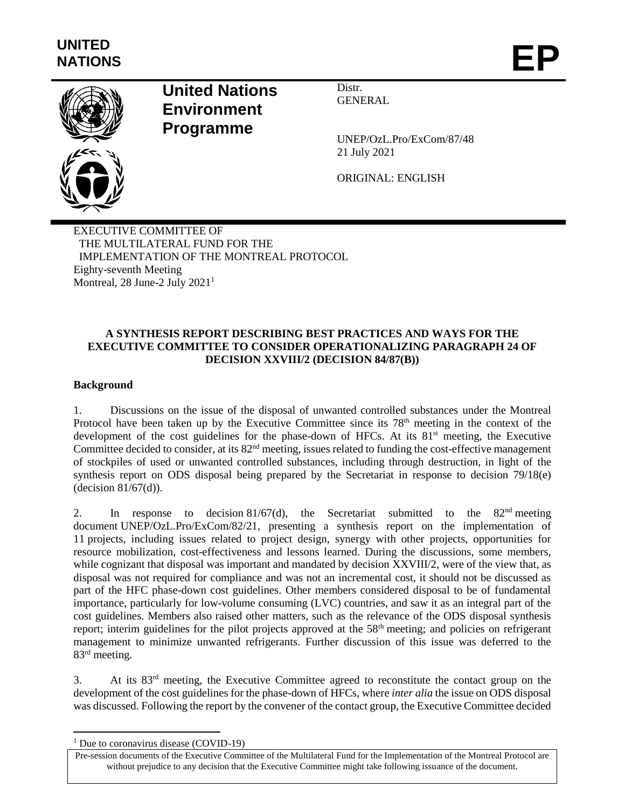

# **United Nations Environment Programme**

Distr. GENERAL

UNEP/OzL.Pro/ExCom/87/48 21 July 2021

ORIGINAL: ENGLISH

EXECUTIVE COMMITTEE OF THE MULTILATERAL FUND FOR THE IMPLEMENTATION OF THE MONTREAL PROTOCOL Eighty-seventh Meeting Montreal, 28 June-2 July 2021<sup>1</sup>

# **A SYNTHESIS REPORT DESCRIBING BEST PRACTICES AND WAYS FOR THE EXECUTIVE COMMITTEE TO CONSIDER OPERATIONALIZING PARAGRAPH 24 OF DECISION XXVIII/2 (DECISION 84/87(B))**

# **Background**

1. Discussions on the issue of the disposal of unwanted controlled substances under the Montreal Protocol have been taken up by the Executive Committee since its 78<sup>th</sup> meeting in the context of the development of the cost guidelines for the phase-down of HFCs. At its  $81<sup>st</sup>$  meeting, the Executive Committee decided to consider, at its  $82<sup>nd</sup>$  meeting, issues related to funding the cost-effective management of stockpiles of used or unwanted controlled substances, including through destruction, in light of the synthesis report on ODS disposal being prepared by the Secretariat in response to decision 79/18(e) (decision 81/67(d)).

2. In response to decision 81/67(d), the Secretariat submitted to the  $82<sup>nd</sup>$  meeting document UNEP/OzL.Pro/ExCom/82/21, presenting a synthesis report on the implementation of 11 projects, including issues related to project design, synergy with other projects, opportunities for resource mobilization, cost-effectiveness and lessons learned. During the discussions, some members, while cognizant that disposal was important and mandated by decision XXVIII/2, were of the view that, as disposal was not required for compliance and was not an incremental cost, it should not be discussed as part of the HFC phase-down cost guidelines. Other members considered disposal to be of fundamental importance, particularly for low-volume consuming (LVC) countries, and saw it as an integral part of the cost guidelines. Members also raised other matters, such as the relevance of the ODS disposal synthesis report; interim guidelines for the pilot projects approved at the 58<sup>th</sup> meeting; and policies on refrigerant management to minimize unwanted refrigerants. Further discussion of this issue was deferred to the 83rd meeting.

3. At its 83rd meeting, the Executive Committee agreed to reconstitute the contact group on the development of the cost guidelines for the phase-down of HFCs, where *inter alia* the issue on ODS disposal was discussed. Following the report by the convener of the contact group, the Executive Committee decided

 $\overline{a}$ 

 $1$  Due to coronavirus disease (COVID-19)

Pre-session documents of the Executive Committee of the Multilateral Fund for the Implementation of the Montreal Protocol are without prejudice to any decision that the Executive Committee might take following issuance of the document.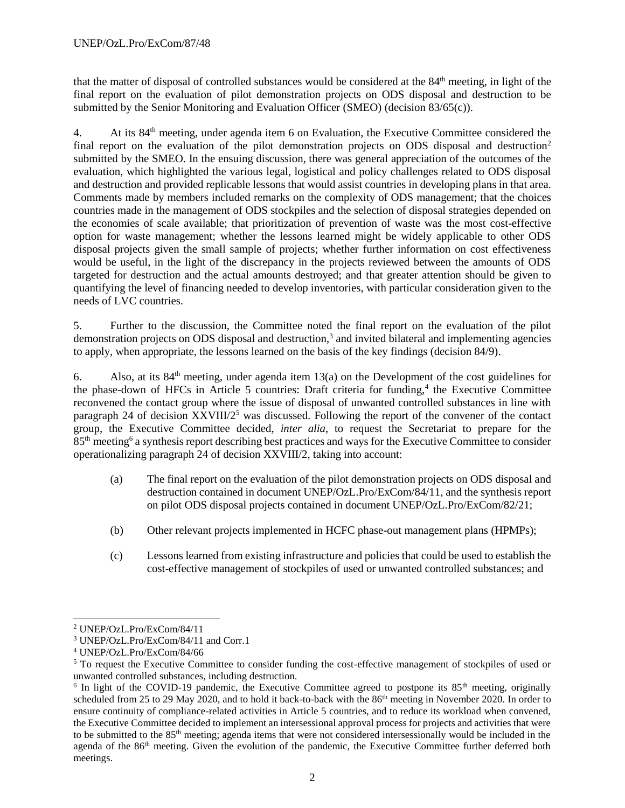that the matter of disposal of controlled substances would be considered at the 84<sup>th</sup> meeting, in light of the final report on the evaluation of pilot demonstration projects on ODS disposal and destruction to be submitted by the Senior Monitoring and Evaluation Officer (SMEO) (decision 83/65(c)).

4. At its 84<sup>th</sup> meeting, under agenda item 6 on Evaluation, the Executive Committee considered the final report on the evaluation of the pilot demonstration projects on ODS disposal and destruction<sup>2</sup> submitted by the SMEO. In the ensuing discussion, there was general appreciation of the outcomes of the evaluation, which highlighted the various legal, logistical and policy challenges related to ODS disposal and destruction and provided replicable lessons that would assist countries in developing plans in that area. Comments made by members included remarks on the complexity of ODS management; that the choices countries made in the management of ODS stockpiles and the selection of disposal strategies depended on the economies of scale available; that prioritization of prevention of waste was the most cost-effective option for waste management; whether the lessons learned might be widely applicable to other ODS disposal projects given the small sample of projects; whether further information on cost effectiveness would be useful, in the light of the discrepancy in the projects reviewed between the amounts of ODS targeted for destruction and the actual amounts destroyed; and that greater attention should be given to quantifying the level of financing needed to develop inventories, with particular consideration given to the needs of LVC countries.

5. Further to the discussion, the Committee noted the final report on the evaluation of the pilot demonstration projects on ODS disposal and destruction,<sup>3</sup> and invited bilateral and implementing agencies to apply, when appropriate, the lessons learned on the basis of the key findings (decision 84/9).

6. Also, at its  $84<sup>th</sup>$  meeting, under agenda item 13(a) on the Development of the cost guidelines for the phase-down of HFCs in Article 5 countries: Draft criteria for funding,<sup>4</sup> the Executive Committee reconvened the contact group where the issue of disposal of unwanted controlled substances in line with paragraph 24 of decision XXVIII/2<sup>5</sup> was discussed. Following the report of the convener of the contact group, the Executive Committee decided, *inter alia*, to request the Secretariat to prepare for the 85<sup>th</sup> meeting<sup>6</sup> a synthesis report describing best practices and ways for the Executive Committee to consider operationalizing paragraph 24 of decision XXVIII/2, taking into account:

- (a) The final report on the evaluation of the pilot demonstration projects on ODS disposal and destruction contained in document UNEP/OzL.Pro/ExCom/84/11, and the synthesis report on pilot ODS disposal projects contained in document UNEP/OzL.Pro/ExCom/82/21;
- (b) Other relevant projects implemented in HCFC phase-out management plans (HPMPs);
- (c) Lessons learned from existing infrastructure and policies that could be used to establish the cost-effective management of stockpiles of used or unwanted controlled substances; and

l

<sup>2</sup> UNEP/OzL.Pro/ExCom/84/11

<sup>3</sup> UNEP/OzL.Pro/ExCom/84/11 and Corr.1

<sup>4</sup> UNEP/OzL.Pro/ExCom/84/66

<sup>5</sup> To request the Executive Committee to consider funding the cost-effective management of stockpiles of used or unwanted controlled substances, including destruction.

<sup>&</sup>lt;sup>6</sup> In light of the COVID-19 pandemic, the Executive Committee agreed to postpone its  $85<sup>th</sup>$  meeting, originally scheduled from 25 to 29 May 2020, and to hold it back-to-back with the 86<sup>th</sup> meeting in November 2020. In order to ensure continuity of compliance-related activities in Article 5 countries, and to reduce its workload when convened, the Executive Committee decided to implement an intersessional approval process for projects and activities that were to be submitted to the 85<sup>th</sup> meeting; agenda items that were not considered intersessionally would be included in the agenda of the 86<sup>th</sup> meeting. Given the evolution of the pandemic, the Executive Committee further deferred both meetings.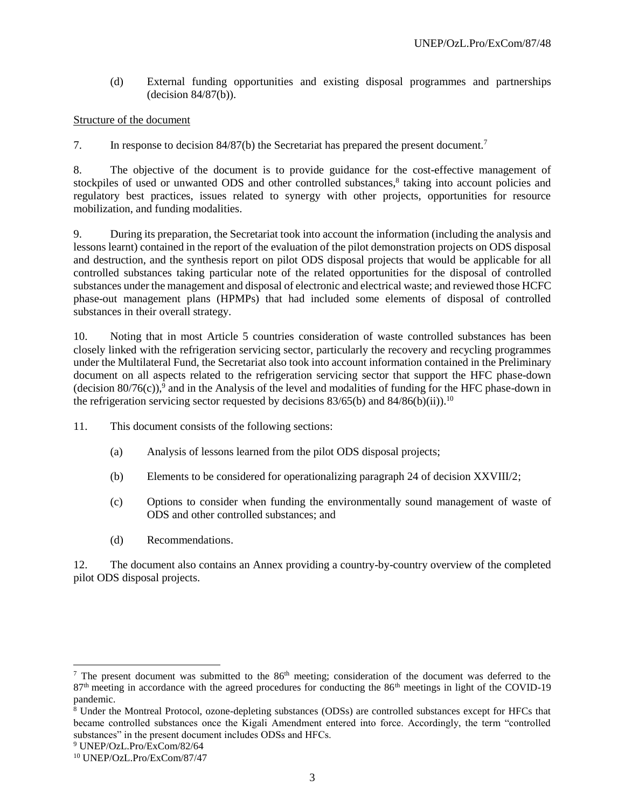(d) External funding opportunities and existing disposal programmes and partnerships (decision 84/87(b)).

## Structure of the document

7. In response to decision 84/87(b) the Secretariat has prepared the present document.<sup>7</sup>

8. The objective of the document is to provide guidance for the cost-effective management of stockpiles of used or unwanted ODS and other controlled substances,<sup>8</sup> taking into account policies and regulatory best practices, issues related to synergy with other projects, opportunities for resource mobilization, and funding modalities.

9. During its preparation, the Secretariat took into account the information (including the analysis and lessons learnt) contained in the report of the evaluation of the pilot demonstration projects on ODS disposal and destruction, and the synthesis report on pilot ODS disposal projects that would be applicable for all controlled substances taking particular note of the related opportunities for the disposal of controlled substances under the management and disposal of electronic and electrical waste; and reviewed those HCFC phase-out management plans (HPMPs) that had included some elements of disposal of controlled substances in their overall strategy.

10. Noting that in most Article 5 countries consideration of waste controlled substances has been closely linked with the refrigeration servicing sector, particularly the recovery and recycling programmes under the Multilateral Fund, the Secretariat also took into account information contained in the Preliminary document on all aspects related to the refrigeration servicing sector that support the HFC phase-down (decision  $80/76(c)$ ),<sup>9</sup> and in the Analysis of the level and modalities of funding for the HFC phase-down in the refrigeration servicing sector requested by decisions  $83/65$ (b) and  $84/86$ (b)(ii)).<sup>10</sup>

11. This document consists of the following sections:

- (a) Analysis of lessons learned from the pilot ODS disposal projects;
- (b) Elements to be considered for operationalizing paragraph 24 of decision XXVIII/2;
- (c) Options to consider when funding the environmentally sound management of waste of ODS and other controlled substances; and
- (d) Recommendations.

12. The document also contains an Annex providing a country-by-country overview of the completed pilot ODS disposal projects.

l

<sup>&</sup>lt;sup>7</sup> The present document was submitted to the  $86<sup>th</sup>$  meeting; consideration of the document was deferred to the 87<sup>th</sup> meeting in accordance with the agreed procedures for conducting the 86<sup>th</sup> meetings in light of the COVID-19 pandemic.

<sup>8</sup> Under the Montreal Protocol, ozone-depleting substances (ODSs) are controlled substances except for HFCs that became controlled substances once the Kigali Amendment entered into force. Accordingly, the term "controlled substances" in the present document includes ODSs and HFCs.

<sup>9</sup> UNEP/OzL.Pro/ExCom/82/64

<sup>10</sup> UNEP/OzL.Pro/ExCom/87/47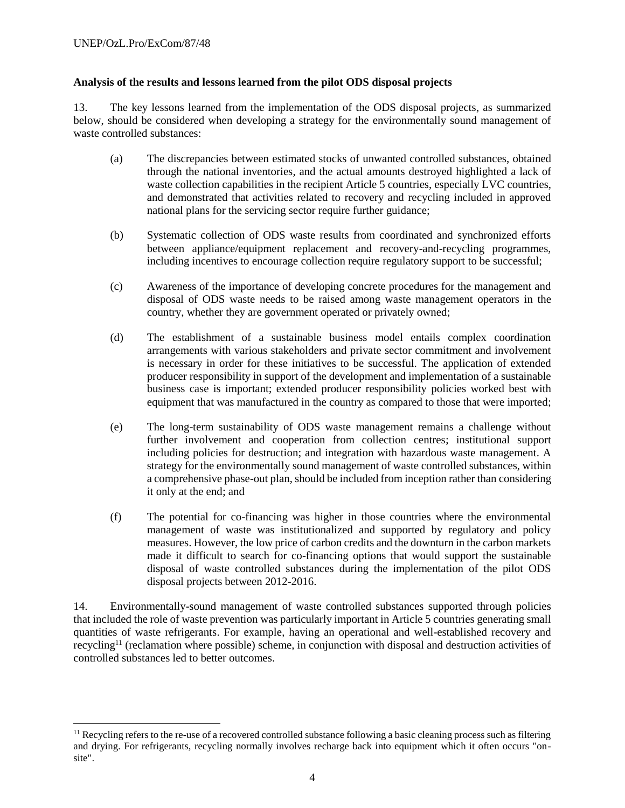l

## **Analysis of the results and lessons learned from the pilot ODS disposal projects**

13. The key lessons learned from the implementation of the ODS disposal projects, as summarized below, should be considered when developing a strategy for the environmentally sound management of waste controlled substances:

- (a) The discrepancies between estimated stocks of unwanted controlled substances, obtained through the national inventories, and the actual amounts destroyed highlighted a lack of waste collection capabilities in the recipient Article 5 countries, especially LVC countries, and demonstrated that activities related to recovery and recycling included in approved national plans for the servicing sector require further guidance;
- (b) Systematic collection of ODS waste results from coordinated and synchronized efforts between appliance/equipment replacement and recovery-and-recycling programmes, including incentives to encourage collection require regulatory support to be successful;
- (c) Awareness of the importance of developing concrete procedures for the management and disposal of ODS waste needs to be raised among waste management operators in the country, whether they are government operated or privately owned;
- (d) The establishment of a sustainable business model entails complex coordination arrangements with various stakeholders and private sector commitment and involvement is necessary in order for these initiatives to be successful. The application of extended producer responsibility in support of the development and implementation of a sustainable business case is important; extended producer responsibility policies worked best with equipment that was manufactured in the country as compared to those that were imported;
- (e) The long-term sustainability of ODS waste management remains a challenge without further involvement and cooperation from collection centres; institutional support including policies for destruction; and integration with hazardous waste management. A strategy for the environmentally sound management of waste controlled substances, within a comprehensive phase-out plan, should be included from inception rather than considering it only at the end; and
- (f) The potential for co-financing was higher in those countries where the environmental management of waste was institutionalized and supported by regulatory and policy measures. However, the low price of carbon credits and the downturn in the carbon markets made it difficult to search for co-financing options that would support the sustainable disposal of waste controlled substances during the implementation of the pilot ODS disposal projects between 2012-2016.

14. Environmentally-sound management of waste controlled substances supported through policies that included the role of waste prevention was particularly important in Article 5 countries generating small quantities of waste refrigerants. For example, having an operational and well-established recovery and recycling<sup>11</sup> (reclamation where possible) scheme, in conjunction with disposal and destruction activities of controlled substances led to better outcomes.

 $<sup>11</sup>$  Recycling refers to the re-use of a recovered controlled substance following a basic cleaning process such as filtering</sup> and drying. For refrigerants, recycling normally involves recharge back into equipment which it often occurs "onsite".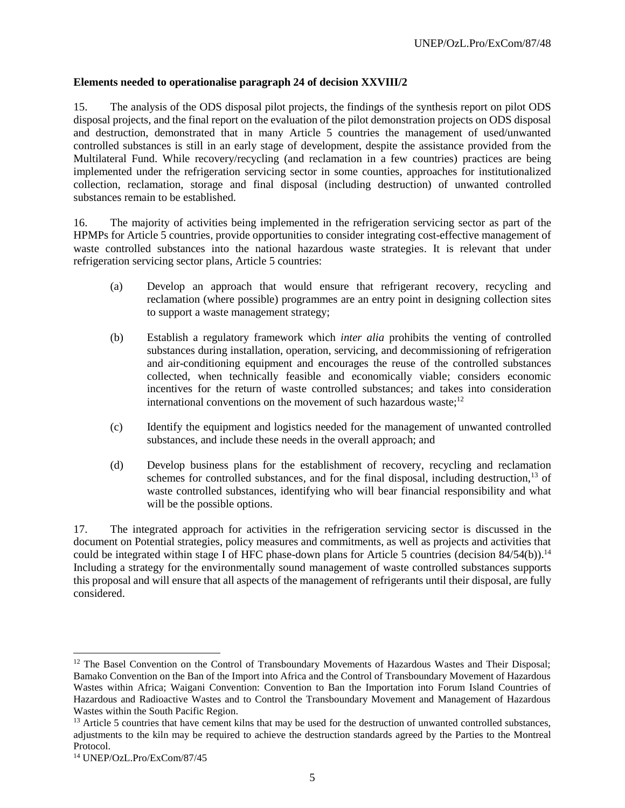## **Elements needed to operationalise paragraph 24 of decision XXVIII/2**

15. The analysis of the ODS disposal pilot projects, the findings of the synthesis report on pilot ODS disposal projects, and the final report on the evaluation of the pilot demonstration projects on ODS disposal and destruction, demonstrated that in many Article 5 countries the management of used/unwanted controlled substances is still in an early stage of development, despite the assistance provided from the Multilateral Fund. While recovery/recycling (and reclamation in a few countries) practices are being implemented under the refrigeration servicing sector in some counties, approaches for institutionalized collection, reclamation, storage and final disposal (including destruction) of unwanted controlled substances remain to be established.

16. The majority of activities being implemented in the refrigeration servicing sector as part of the HPMPs for Article 5 countries, provide opportunities to consider integrating cost-effective management of waste controlled substances into the national hazardous waste strategies. It is relevant that under refrigeration servicing sector plans, Article 5 countries:

- (a) Develop an approach that would ensure that refrigerant recovery, recycling and reclamation (where possible) programmes are an entry point in designing collection sites to support a waste management strategy;
- (b) Establish a regulatory framework which *inter alia* prohibits the venting of controlled substances during installation, operation, servicing, and decommissioning of refrigeration and air-conditioning equipment and encourages the reuse of the controlled substances collected, when technically feasible and economically viable; considers economic incentives for the return of waste controlled substances; and takes into consideration international conventions on the movement of such hazardous waste;<sup>12</sup>
- (c) Identify the equipment and logistics needed for the management of unwanted controlled substances, and include these needs in the overall approach; and
- (d) Develop business plans for the establishment of recovery, recycling and reclamation schemes for controlled substances, and for the final disposal, including destruction,<sup>13</sup> of waste controlled substances, identifying who will bear financial responsibility and what will be the possible options.

17. The integrated approach for activities in the refrigeration servicing sector is discussed in the document on Potential strategies, policy measures and commitments, as well as projects and activities that could be integrated within stage I of HFC phase-down plans for Article 5 countries (decision 84/54(b)).<sup>14</sup> Including a strategy for the environmentally sound management of waste controlled substances supports this proposal and will ensure that all aspects of the management of refrigerants until their disposal, are fully considered.

l

<sup>&</sup>lt;sup>12</sup> The Basel Convention on the Control of Transboundary Movements of Hazardous Wastes and Their Disposal; Bamako Convention on the Ban of the Import into Africa and the Control of Transboundary Movement of Hazardous Wastes within Africa; Waigani Convention: Convention to Ban the Importation into Forum Island Countries of Hazardous and Radioactive Wastes and to Control the Transboundary Movement and Management of Hazardous Wastes within the South Pacific Region.

<sup>&</sup>lt;sup>13</sup> Article 5 countries that have cement kilns that may be used for the destruction of unwanted controlled substances, adjustments to the kiln may be required to achieve the destruction standards agreed by the Parties to the Montreal Protocol.

<sup>14</sup> UNEP/OzL.Pro/ExCom/87/45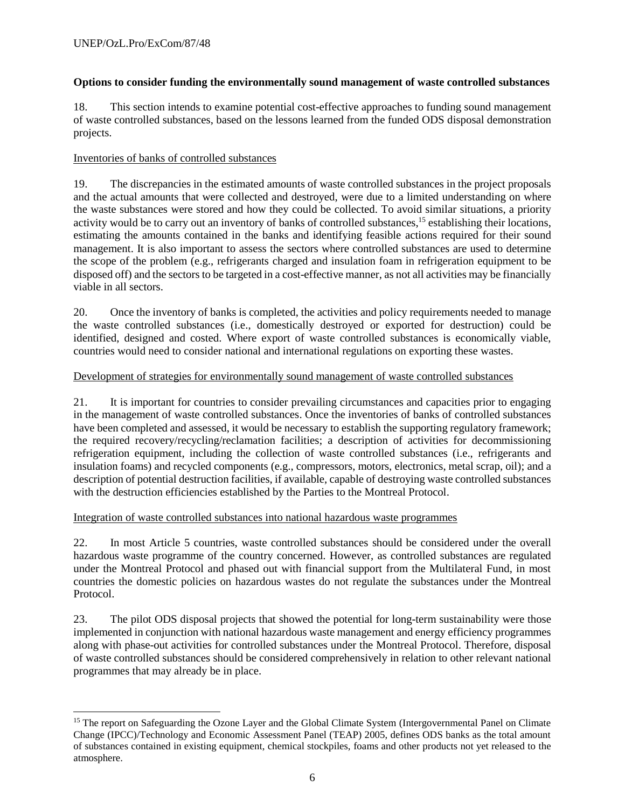l

# **Options to consider funding the environmentally sound management of waste controlled substances**

18. This section intends to examine potential cost-effective approaches to funding sound management of waste controlled substances, based on the lessons learned from the funded ODS disposal demonstration projects.

# Inventories of banks of controlled substances

19. The discrepancies in the estimated amounts of waste controlled substances in the project proposals and the actual amounts that were collected and destroyed, were due to a limited understanding on where the waste substances were stored and how they could be collected. To avoid similar situations, a priority activity would be to carry out an inventory of banks of controlled substances,<sup>15</sup> establishing their locations, estimating the amounts contained in the banks and identifying feasible actions required for their sound management. It is also important to assess the sectors where controlled substances are used to determine the scope of the problem (e.g., refrigerants charged and insulation foam in refrigeration equipment to be disposed off) and the sectors to be targeted in a cost-effective manner, as not all activities may be financially viable in all sectors.

20. Once the inventory of banks is completed, the activities and policy requirements needed to manage the waste controlled substances (i.e., domestically destroyed or exported for destruction) could be identified, designed and costed. Where export of waste controlled substances is economically viable, countries would need to consider national and international regulations on exporting these wastes.

# Development of strategies for environmentally sound management of waste controlled substances

21. It is important for countries to consider prevailing circumstances and capacities prior to engaging in the management of waste controlled substances. Once the inventories of banks of controlled substances have been completed and assessed, it would be necessary to establish the supporting regulatory framework; the required recovery/recycling/reclamation facilities; a description of activities for decommissioning refrigeration equipment, including the collection of waste controlled substances (i.e., refrigerants and insulation foams) and recycled components (e.g., compressors, motors, electronics, metal scrap, oil); and a description of potential destruction facilities, if available, capable of destroying waste controlled substances with the destruction efficiencies established by the Parties to the Montreal Protocol.

## Integration of waste controlled substances into national hazardous waste programmes

22. In most Article 5 countries, waste controlled substances should be considered under the overall hazardous waste programme of the country concerned. However, as controlled substances are regulated under the Montreal Protocol and phased out with financial support from the Multilateral Fund, in most countries the domestic policies on hazardous wastes do not regulate the substances under the Montreal Protocol.

23. The pilot ODS disposal projects that showed the potential for long-term sustainability were those implemented in conjunction with national hazardous waste management and energy efficiency programmes along with phase-out activities for controlled substances under the Montreal Protocol. Therefore, disposal of waste controlled substances should be considered comprehensively in relation to other relevant national programmes that may already be in place.

<sup>&</sup>lt;sup>15</sup> The report on Safeguarding the Ozone Layer and the Global Climate System (Intergovernmental Panel on Climate Change (IPCC)/Technology and Economic Assessment Panel (TEAP) 2005, defines ODS banks as the total amount of substances contained in existing equipment, chemical stockpiles, foams and other products not yet released to the atmosphere.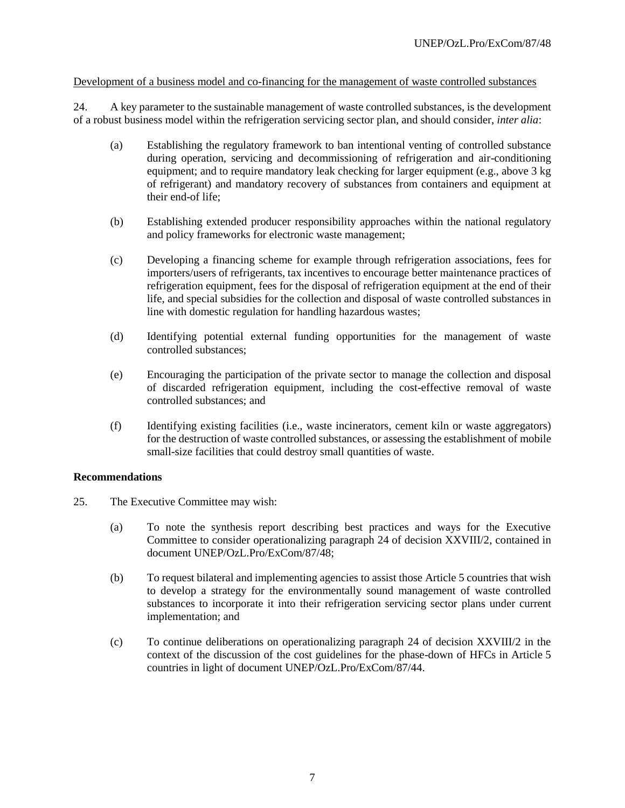## Development of a business model and co-financing for the management of waste controlled substances

24. A key parameter to the sustainable management of waste controlled substances, is the development of a robust business model within the refrigeration servicing sector plan, and should consider, *inter alia*:

- (a) Establishing the regulatory framework to ban intentional venting of controlled substance during operation, servicing and decommissioning of refrigeration and air-conditioning equipment; and to require mandatory leak checking for larger equipment (e.g., above 3 kg of refrigerant) and mandatory recovery of substances from containers and equipment at their end-of life;
- (b) Establishing extended producer responsibility approaches within the national regulatory and policy frameworks for electronic waste management;
- (c) Developing a financing scheme for example through refrigeration associations, fees for importers/users of refrigerants, tax incentives to encourage better maintenance practices of refrigeration equipment, fees for the disposal of refrigeration equipment at the end of their life, and special subsidies for the collection and disposal of waste controlled substances in line with domestic regulation for handling hazardous wastes;
- (d) Identifying potential external funding opportunities for the management of waste controlled substances;
- (e) Encouraging the participation of the private sector to manage the collection and disposal of discarded refrigeration equipment, including the cost-effective removal of waste controlled substances; and
- (f) Identifying existing facilities (i.e., waste incinerators, cement kiln or waste aggregators) for the destruction of waste controlled substances, or assessing the establishment of mobile small-size facilities that could destroy small quantities of waste.

#### **Recommendations**

- 25. The Executive Committee may wish:
	- (a) To note the synthesis report describing best practices and ways for the Executive Committee to consider operationalizing paragraph 24 of decision XXVIII/2, contained in document UNEP/OzL.Pro/ExCom/87/48;
	- (b) To request bilateral and implementing agencies to assist those Article 5 countries that wish to develop a strategy for the environmentally sound management of waste controlled substances to incorporate it into their refrigeration servicing sector plans under current implementation; and
	- (c) To continue deliberations on operationalizing paragraph 24 of decision XXVIII/2 in the context of the discussion of the cost guidelines for the phase-down of HFCs in Article 5 countries in light of document UNEP/OzL.Pro/ExCom/87/44.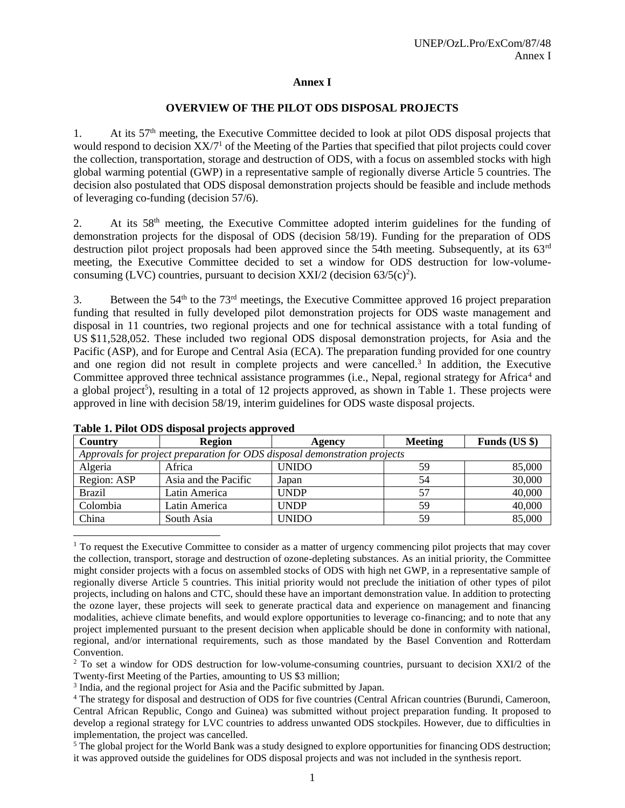## **Annex I**

#### **OVERVIEW OF THE PILOT ODS DISPOSAL PROJECTS**

1. At its  $57<sup>th</sup>$  meeting, the Executive Committee decided to look at pilot ODS disposal projects that would respond to decision XX/7<sup>1</sup> of the Meeting of the Parties that specified that pilot projects could cover the collection, transportation, storage and destruction of ODS, with a focus on assembled stocks with high global warming potential (GWP) in a representative sample of regionally diverse Article 5 countries. The decision also postulated that ODS disposal demonstration projects should be feasible and include methods of leveraging co-funding (decision 57/6).

2. At its 58<sup>th</sup> meeting, the Executive Committee adopted interim guidelines for the funding of demonstration projects for the disposal of ODS (decision 58/19). Funding for the preparation of ODS destruction pilot project proposals had been approved since the 54th meeting. Subsequently, at its 63<sup>rd</sup> meeting, the Executive Committee decided to set a window for ODS destruction for low-volumeconsuming (LVC) countries, pursuant to decision XXI/2 (decision  $63/5(c)^2$ ).

3. Between the  $54<sup>th</sup>$  to the  $73<sup>rd</sup>$  meetings, the Executive Committee approved 16 project preparation funding that resulted in fully developed pilot demonstration projects for ODS waste management and disposal in 11 countries, two regional projects and one for technical assistance with a total funding of US \$11,528,052. These included two regional ODS disposal demonstration projects, for Asia and the Pacific (ASP), and for Europe and Central Asia (ECA). The preparation funding provided for one country and one region did not result in complete projects and were cancelled.<sup>3</sup> In addition, the Executive Committee approved three technical assistance programmes (i.e., Nepal, regional strategy for Africa<sup>4</sup> and a global project<sup>5</sup>), resulting in a total of 12 projects approved, as shown in Table 1. These projects were approved in line with decision 58/19, interim guidelines for ODS waste disposal projects.

| Country                                                                   | <b>Region</b>        | Agency       | <b>Meeting</b> | Funds (US \$) |  |  |
|---------------------------------------------------------------------------|----------------------|--------------|----------------|---------------|--|--|
| Approvals for project preparation for ODS disposal demonstration projects |                      |              |                |               |  |  |
| Algeria                                                                   | Africa               | <b>UNIDO</b> | 59             | 85,000        |  |  |
| Region: ASP                                                               | Asia and the Pacific | Japan        | 54             | 30,000        |  |  |
| <b>Brazil</b>                                                             | Latin America        | <b>UNDP</b>  | .57            | 40,000        |  |  |
| Colombia                                                                  | Latin America        | <b>UNDP</b>  | 59             | 40,000        |  |  |
| China                                                                     | South Asia           | <b>UNIDO</b> | 59             | 85,000        |  |  |

**Table 1. Pilot ODS disposal projects approved**

 $\overline{a}$ <sup>1</sup> To request the Executive Committee to consider as a matter of urgency commencing pilot projects that may cover the collection, transport, storage and destruction of ozone-depleting substances. As an initial priority, the Committee might consider projects with a focus on assembled stocks of ODS with high net GWP, in a representative sample of regionally diverse Article 5 countries. This initial priority would not preclude the initiation of other types of pilot projects, including on halons and CTC, should these have an important demonstration value. In addition to protecting the ozone layer, these projects will seek to generate practical data and experience on management and financing modalities, achieve climate benefits, and would explore opportunities to leverage co-financing; and to note that any project implemented pursuant to the present decision when applicable should be done in conformity with national, regional, and/or international requirements, such as those mandated by the Basel Convention and Rotterdam Convention.

<sup>2</sup> To set a window for ODS destruction for low-volume-consuming countries, pursuant to decision XXI/2 of the Twenty-first Meeting of the Parties, amounting to US \$3 million;

<sup>3</sup> India, and the regional project for Asia and the Pacific submitted by Japan.

<sup>4</sup> The strategy for disposal and destruction of ODS for five countries (Central African countries (Burundi, Cameroon, Central African Republic, Congo and Guinea) was submitted without project preparation funding. It proposed to develop a regional strategy for LVC countries to address unwanted ODS stockpiles. However, due to difficulties in implementation, the project was cancelled.

<sup>5</sup> The global project for the World Bank was a study designed to explore opportunities for financing ODS destruction; it was approved outside the guidelines for ODS disposal projects and was not included in the synthesis report.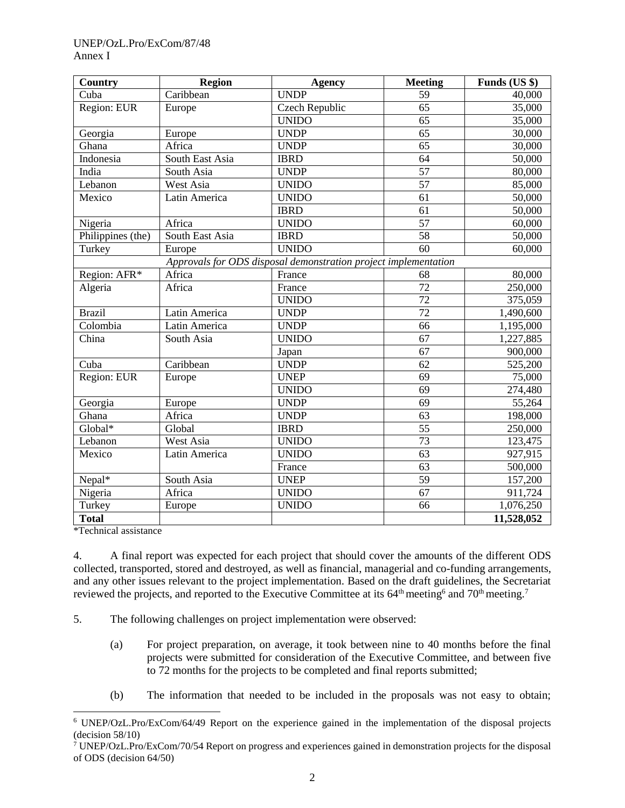## UNEP/OzL.Pro/ExCom/87/48 Annex I

| Country                                                         | <b>Region</b>   | <b>Agency</b>  | <b>Meeting</b>  | Funds (US \$) |  |
|-----------------------------------------------------------------|-----------------|----------------|-----------------|---------------|--|
| Cuba                                                            | Caribbean       | <b>UNDP</b>    | 59              | 40,000        |  |
| Region: EUR                                                     | Europe          | Czech Republic | $\overline{65}$ | 35,000        |  |
|                                                                 |                 | <b>UNIDO</b>   | 65              | 35,000        |  |
| Georgia                                                         | Europe          | <b>UNDP</b>    | $\overline{65}$ | 30,000        |  |
| Ghana                                                           | Africa          | <b>UNDP</b>    | 65              | 30,000        |  |
| Indonesia                                                       | South East Asia | <b>IBRD</b>    | 64              | 50,000        |  |
| India                                                           | South Asia      | <b>UNDP</b>    | $\overline{57}$ | 80,000        |  |
| Lebanon                                                         | West Asia       | <b>UNIDO</b>   | 57              | 85,000        |  |
| Mexico                                                          | Latin America   | <b>UNIDO</b>   | $\overline{61}$ | 50,000        |  |
|                                                                 |                 | <b>IBRD</b>    | 61              | 50,000        |  |
| Nigeria                                                         | Africa          | <b>UNIDO</b>   | $\overline{57}$ | 60,000        |  |
| Philippines (the)                                               | South East Asia | <b>IBRD</b>    | $\overline{58}$ | 50,000        |  |
| Turkey                                                          | Europe          | <b>UNIDO</b>   | 60              | 60,000        |  |
| Approvals for ODS disposal demonstration project implementation |                 |                |                 |               |  |
| Region: AFR*                                                    | Africa          | France         | 68              | 80,000        |  |
| Algeria                                                         | Africa          | France         | $\overline{72}$ | 250,000       |  |
|                                                                 |                 | <b>UNIDO</b>   | $\overline{72}$ | 375,059       |  |
| <b>Brazil</b>                                                   | Latin America   | <b>UNDP</b>    | $\overline{72}$ | 1,490,600     |  |
| Colombia                                                        | Latin America   | <b>UNDP</b>    | 66              | 1,195,000     |  |
| China                                                           | South Asia      | <b>UNIDO</b>   | $\overline{67}$ | 1,227,885     |  |
|                                                                 |                 | Japan          | 67              | 900,000       |  |
| Cuba                                                            | Caribbean       | <b>UNDP</b>    | 62              | 525,200       |  |
| Region: EUR                                                     | Europe          | <b>UNEP</b>    | 69              | 75,000        |  |
|                                                                 |                 | <b>UNIDO</b>   | 69              | 274,480       |  |
| Georgia                                                         | Europe          | <b>UNDP</b>    | 69              | 55,264        |  |
| $\overline{G}$ hana                                             | Africa          | <b>UNDP</b>    | 63              | 198,000       |  |
| Global*                                                         | Global          | <b>IBRD</b>    | $\overline{55}$ | 250,000       |  |
| Lebanon                                                         | West Asia       | <b>UNIDO</b>   | $\overline{73}$ | 123,475       |  |
| Mexico                                                          | Latin America   | <b>UNIDO</b>   | $\overline{63}$ | 927,915       |  |
|                                                                 |                 | France         | 63              | 500,000       |  |
| Nepal*                                                          | South Asia      | <b>UNEP</b>    | 59              | 157,200       |  |
| Nigeria                                                         | Africa          | <b>UNIDO</b>   | $\overline{67}$ | 911,724       |  |
| Turkey                                                          | Europe          | <b>UNIDO</b>   | 66              | 1,076,250     |  |
| <b>Total</b>                                                    |                 |                |                 | 11,528,052    |  |

\*Technical assistance

l

4. A final report was expected for each project that should cover the amounts of the different ODS collected, transported, stored and destroyed, as well as financial, managerial and co-funding arrangements, and any other issues relevant to the project implementation. Based on the draft guidelines, the Secretariat reviewed the projects, and reported to the Executive Committee at its  $64^{\text{th}}$  meeting<sup>6</sup> and  $70^{\text{th}}$  meeting.<sup>7</sup>

- 5. The following challenges on project implementation were observed:
	- (a) For project preparation, on average, it took between nine to 40 months before the final projects were submitted for consideration of the Executive Committee, and between five to 72 months for the projects to be completed and final reports submitted;
	- (b) The information that needed to be included in the proposals was not easy to obtain;

<sup>6</sup> UNEP/OzL.Pro/ExCom/64/49 Report on the experience gained in the implementation of the disposal projects (decision 58/10)

<sup>7</sup> UNEP/OzL.Pro/ExCom/70/54 Report on progress and experiences gained in demonstration projects for the disposal of ODS (decision 64/50)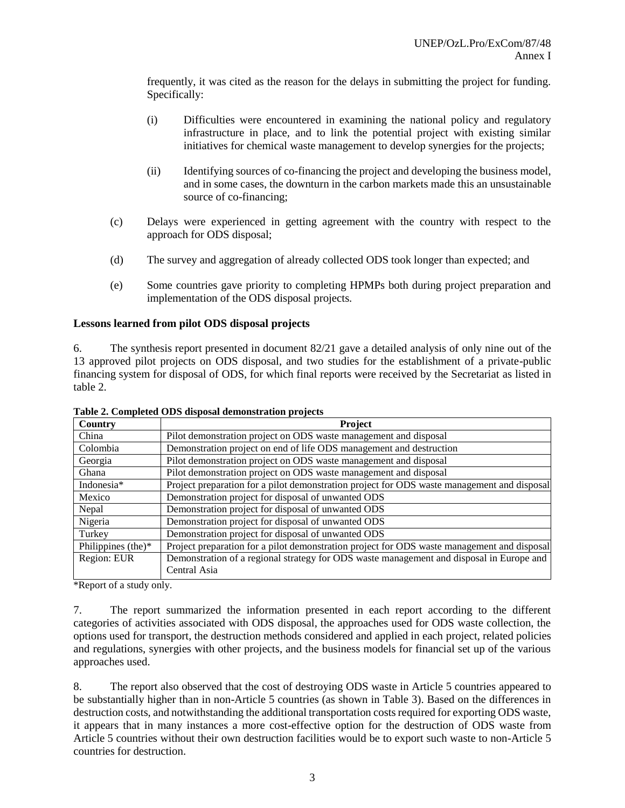frequently, it was cited as the reason for the delays in submitting the project for funding. Specifically:

- (i) Difficulties were encountered in examining the national policy and regulatory infrastructure in place, and to link the potential project with existing similar initiatives for chemical waste management to develop synergies for the projects;
- (ii) Identifying sources of co-financing the project and developing the business model, and in some cases, the downturn in the carbon markets made this an unsustainable source of co-financing;
- (c) Delays were experienced in getting agreement with the country with respect to the approach for ODS disposal;
- (d) The survey and aggregation of already collected ODS took longer than expected; and
- (e) Some countries gave priority to completing HPMPs both during project preparation and implementation of the ODS disposal projects.

## **Lessons learned from pilot ODS disposal projects**

6. The synthesis report presented in document 82/21 gave a detailed analysis of only nine out of the 13 approved pilot projects on ODS disposal, and two studies for the establishment of a private-public financing system for disposal of ODS, for which final reports were received by the Secretariat as listed in table 2.

| Country               | <b>Project</b>                                                                              |  |
|-----------------------|---------------------------------------------------------------------------------------------|--|
| China                 | Pilot demonstration project on ODS waste management and disposal                            |  |
| Colombia              | Demonstration project on end of life ODS management and destruction                         |  |
| Georgia               | Pilot demonstration project on ODS waste management and disposal                            |  |
| Ghana                 | Pilot demonstration project on ODS waste management and disposal                            |  |
| Indonesia*            | Project preparation for a pilot demonstration project for ODS waste management and disposal |  |
| Mexico                | Demonstration project for disposal of unwanted ODS                                          |  |
| Nepal                 | Demonstration project for disposal of unwanted ODS                                          |  |
| Nigeria               | Demonstration project for disposal of unwanted ODS                                          |  |
| Turkey                | Demonstration project for disposal of unwanted ODS                                          |  |
| Philippines (the) $*$ | Project preparation for a pilot demonstration project for ODS waste management and disposal |  |
| Region: EUR           | Demonstration of a regional strategy for ODS waste management and disposal in Europe and    |  |
|                       | Central Asia                                                                                |  |

**Table 2. Completed ODS disposal demonstration projects**

\*Report of a study only.

7. The report summarized the information presented in each report according to the different categories of activities associated with ODS disposal, the approaches used for ODS waste collection, the options used for transport, the destruction methods considered and applied in each project, related policies and regulations, synergies with other projects, and the business models for financial set up of the various approaches used.

8. The report also observed that the cost of destroying ODS waste in Article 5 countries appeared to be substantially higher than in non-Article 5 countries (as shown in Table 3). Based on the differences in destruction costs, and notwithstanding the additional transportation costs required for exporting ODS waste, it appears that in many instances a more cost-effective option for the destruction of ODS waste from Article 5 countries without their own destruction facilities would be to export such waste to non-Article 5 countries for destruction.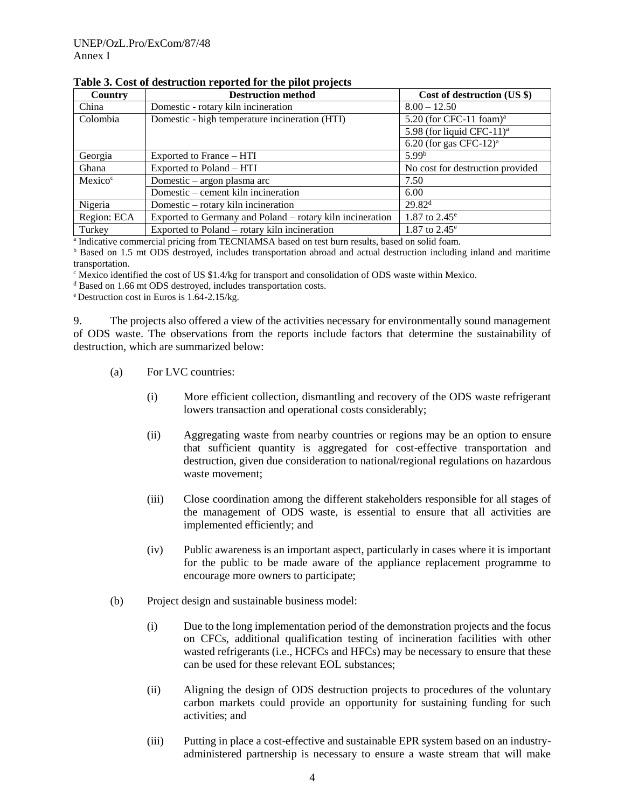| <b>Country</b>      | <b>Destruction method</b>                                 | Cost of destruction (US \$)         |
|---------------------|-----------------------------------------------------------|-------------------------------------|
| China               | Domestic - rotary kiln incineration                       | $8.00 - 12.50$                      |
| Colombia            | Domestic - high temperature incineration (HTI)            | 5.20 (for CFC-11 foam) $a$          |
|                     |                                                           | 5.98 (for liquid CFC-11) $^{\rm a}$ |
|                     |                                                           | 6.20 (for gas CFC-12) <sup>a</sup>  |
| Georgia             | Exported to France – HTI                                  | 5.99 <sup>b</sup>                   |
| Ghana               | Exported to Poland - HTI                                  | No cost for destruction provided    |
| Mexico <sup>c</sup> | Domestic – argon plasma arc                               | 7.50                                |
|                     | Domestic – cement kiln incineration                       | 6.00                                |
| Nigeria             | Domestic – rotary kiln incineration                       | 29.82 <sup>d</sup>                  |
| Region: ECA         | Exported to Germany and Poland – rotary kiln incineration | 1.87 to $2.45^{\circ}$              |
| Turkey              | Exported to Poland – rotary kiln incineration             | 1.87 to $2.45^{\circ}$              |

a Indicative commercial pricing from TECNIAMSA based on test burn results, based on solid foam.

**b** Based on 1.5 mt ODS destroyed, includes transportation abroad and actual destruction including inland and maritime transportation.

 $\epsilon$  Mexico identified the cost of US \$1.4/kg for transport and consolidation of ODS waste within Mexico.

<sup>d</sup> Based on 1.66 mt ODS destroyed, includes transportation costs.

<sup>e</sup> Destruction cost in Euros is 1.64-2.15/kg.

9. The projects also offered a view of the activities necessary for environmentally sound management of ODS waste. The observations from the reports include factors that determine the sustainability of destruction, which are summarized below:

- (a) For LVC countries:
	- (i) More efficient collection, dismantling and recovery of the ODS waste refrigerant lowers transaction and operational costs considerably;
	- (ii) Aggregating waste from nearby countries or regions may be an option to ensure that sufficient quantity is aggregated for cost-effective transportation and destruction, given due consideration to national/regional regulations on hazardous waste movement;
	- (iii) Close coordination among the different stakeholders responsible for all stages of the management of ODS waste, is essential to ensure that all activities are implemented efficiently; and
	- (iv) Public awareness is an important aspect, particularly in cases where it is important for the public to be made aware of the appliance replacement programme to encourage more owners to participate;
- (b) Project design and sustainable business model:
	- (i) Due to the long implementation period of the demonstration projects and the focus on CFCs, additional qualification testing of incineration facilities with other wasted refrigerants (i.e., HCFCs and HFCs) may be necessary to ensure that these can be used for these relevant EOL substances;
	- (ii) Aligning the design of ODS destruction projects to procedures of the voluntary carbon markets could provide an opportunity for sustaining funding for such activities; and
	- (iii) Putting in place a cost-effective and sustainable EPR system based on an industryadministered partnership is necessary to ensure a waste stream that will make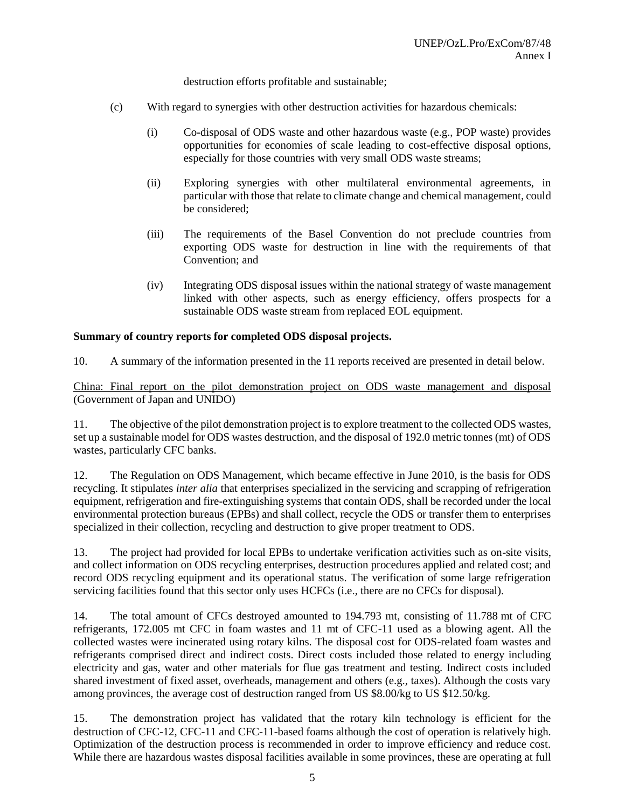destruction efforts profitable and sustainable;

- (c) With regard to synergies with other destruction activities for hazardous chemicals:
	- (i) Co-disposal of ODS waste and other hazardous waste (e.g., POP waste) provides opportunities for economies of scale leading to cost-effective disposal options, especially for those countries with very small ODS waste streams;
	- (ii) Exploring synergies with other multilateral environmental agreements, in particular with those that relate to climate change and chemical management, could be considered;
	- (iii) The requirements of the Basel Convention do not preclude countries from exporting ODS waste for destruction in line with the requirements of that Convention; and
	- (iv) Integrating ODS disposal issues within the national strategy of waste management linked with other aspects, such as energy efficiency, offers prospects for a sustainable ODS waste stream from replaced EOL equipment.

# **Summary of country reports for completed ODS disposal projects.**

10. A summary of the information presented in the 11 reports received are presented in detail below.

China: Final report on the pilot demonstration project on ODS waste management and disposal (Government of Japan and UNIDO)

11. The objective of the pilot demonstration project is to explore treatment to the collected ODS wastes, set up a sustainable model for ODS wastes destruction, and the disposal of 192.0 metric tonnes (mt) of ODS wastes, particularly CFC banks.

12. The Regulation on ODS Management, which became effective in June 2010, is the basis for ODS recycling. It stipulates *inter alia* that enterprises specialized in the servicing and scrapping of refrigeration equipment, refrigeration and fire-extinguishing systems that contain ODS, shall be recorded under the local environmental protection bureaus (EPBs) and shall collect, recycle the ODS or transfer them to enterprises specialized in their collection, recycling and destruction to give proper treatment to ODS.

13. The project had provided for local EPBs to undertake verification activities such as on-site visits, and collect information on ODS recycling enterprises, destruction procedures applied and related cost; and record ODS recycling equipment and its operational status. The verification of some large refrigeration servicing facilities found that this sector only uses HCFCs (i.e., there are no CFCs for disposal).

14. The total amount of CFCs destroyed amounted to 194.793 mt, consisting of 11.788 mt of CFC refrigerants, 172.005 mt CFC in foam wastes and 11 mt of CFC-11 used as a blowing agent. All the collected wastes were incinerated using rotary kilns. The disposal cost for ODS-related foam wastes and refrigerants comprised direct and indirect costs. Direct costs included those related to energy including electricity and gas, water and other materials for flue gas treatment and testing. Indirect costs included shared investment of fixed asset, overheads, management and others (e.g., taxes). Although the costs vary among provinces, the average cost of destruction ranged from US \$8.00/kg to US \$12.50/kg.

15. The demonstration project has validated that the rotary kiln technology is efficient for the destruction of CFC-12, CFC-11 and CFC-11-based foams although the cost of operation is relatively high. Optimization of the destruction process is recommended in order to improve efficiency and reduce cost. While there are hazardous wastes disposal facilities available in some provinces, these are operating at full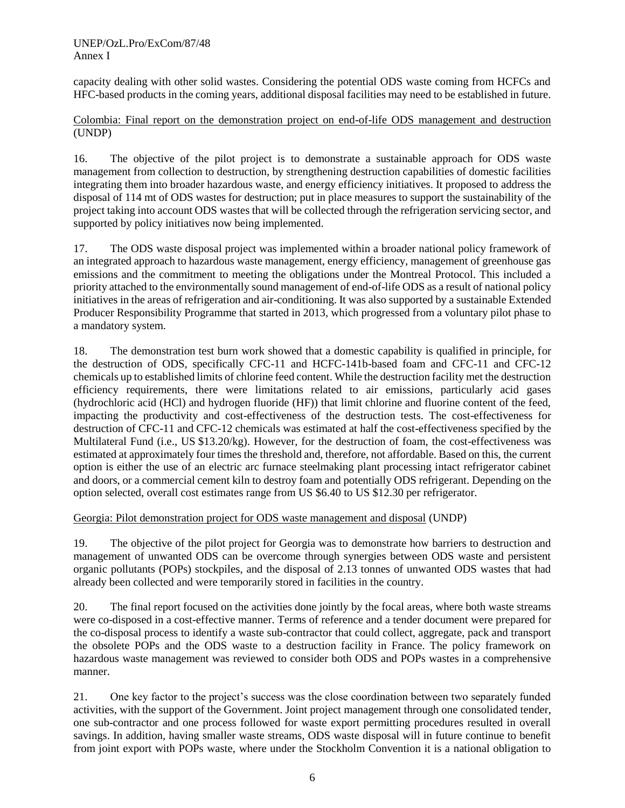capacity dealing with other solid wastes. Considering the potential ODS waste coming from HCFCs and HFC-based products in the coming years, additional disposal facilities may need to be established in future.

Colombia: Final report on the demonstration project on end-of-life ODS management and destruction (UNDP)

16. The objective of the pilot project is to demonstrate a sustainable approach for ODS waste management from collection to destruction, by strengthening destruction capabilities of domestic facilities integrating them into broader hazardous waste, and energy efficiency initiatives. It proposed to address the disposal of 114 mt of ODS wastes for destruction; put in place measures to support the sustainability of the project taking into account ODS wastes that will be collected through the refrigeration servicing sector, and supported by policy initiatives now being implemented.

17. The ODS waste disposal project was implemented within a broader national policy framework of an integrated approach to hazardous waste management, energy efficiency, management of greenhouse gas emissions and the commitment to meeting the obligations under the Montreal Protocol. This included a priority attached to the environmentally sound management of end-of-life ODS as a result of national policy initiatives in the areas of refrigeration and air-conditioning. It was also supported by a sustainable Extended Producer Responsibility Programme that started in 2013, which progressed from a voluntary pilot phase to a mandatory system.

18. The demonstration test burn work showed that a domestic capability is qualified in principle, for the destruction of ODS, specifically CFC-11 and HCFC-141b-based foam and CFC-11 and CFC-12 chemicals up to established limits of chlorine feed content. While the destruction facility met the destruction efficiency requirements, there were limitations related to air emissions, particularly acid gases (hydrochloric acid (HCl) and hydrogen fluoride (HF)) that limit chlorine and fluorine content of the feed, impacting the productivity and cost-effectiveness of the destruction tests. The cost-effectiveness for destruction of CFC-11 and CFC-12 chemicals was estimated at half the cost-effectiveness specified by the Multilateral Fund (i.e., US \$13.20/kg). However, for the destruction of foam, the cost-effectiveness was estimated at approximately four times the threshold and, therefore, not affordable. Based on this, the current option is either the use of an electric arc furnace steelmaking plant processing intact refrigerator cabinet and doors, or a commercial cement kiln to destroy foam and potentially ODS refrigerant. Depending on the option selected, overall cost estimates range from US \$6.40 to US \$12.30 per refrigerator.

Georgia: Pilot demonstration project for ODS waste management and disposal (UNDP)

19. The objective of the pilot project for Georgia was to demonstrate how barriers to destruction and management of unwanted ODS can be overcome through synergies between ODS waste and persistent organic pollutants (POPs) stockpiles, and the disposal of 2.13 tonnes of unwanted ODS wastes that had already been collected and were temporarily stored in facilities in the country.

20. The final report focused on the activities done jointly by the focal areas, where both waste streams were co-disposed in a cost-effective manner. Terms of reference and a tender document were prepared for the co-disposal process to identify a waste sub-contractor that could collect, aggregate, pack and transport the obsolete POPs and the ODS waste to a destruction facility in France. The policy framework on hazardous waste management was reviewed to consider both ODS and POPs wastes in a comprehensive manner.

21. One key factor to the project's success was the close coordination between two separately funded activities, with the support of the Government. Joint project management through one consolidated tender, one sub-contractor and one process followed for waste export permitting procedures resulted in overall savings. In addition, having smaller waste streams, ODS waste disposal will in future continue to benefit from joint export with POPs waste, where under the Stockholm Convention it is a national obligation to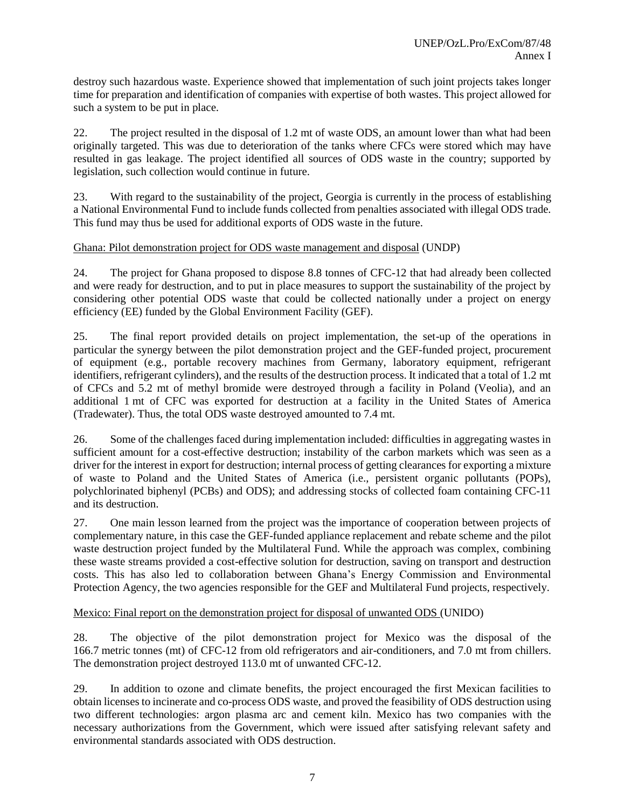destroy such hazardous waste. Experience showed that implementation of such joint projects takes longer time for preparation and identification of companies with expertise of both wastes. This project allowed for such a system to be put in place.

22. The project resulted in the disposal of 1.2 mt of waste ODS, an amount lower than what had been originally targeted. This was due to deterioration of the tanks where CFCs were stored which may have resulted in gas leakage. The project identified all sources of ODS waste in the country; supported by legislation, such collection would continue in future.

23. With regard to the sustainability of the project, Georgia is currently in the process of establishing a National Environmental Fund to include funds collected from penalties associated with illegal ODS trade. This fund may thus be used for additional exports of ODS waste in the future.

#### Ghana: Pilot demonstration project for ODS waste management and disposal (UNDP)

24. The project for Ghana proposed to dispose 8.8 tonnes of CFC-12 that had already been collected and were ready for destruction, and to put in place measures to support the sustainability of the project by considering other potential ODS waste that could be collected nationally under a project on energy efficiency (EE) funded by the Global Environment Facility (GEF).

25. The final report provided details on project implementation, the set-up of the operations in particular the synergy between the pilot demonstration project and the GEF-funded project, procurement of equipment (e.g., portable recovery machines from Germany, laboratory equipment, refrigerant identifiers, refrigerant cylinders), and the results of the destruction process. It indicated that a total of 1.2 mt of CFCs and 5.2 mt of methyl bromide were destroyed through a facility in Poland (Veolia), and an additional 1 mt of CFC was exported for destruction at a facility in the United States of America (Tradewater). Thus, the total ODS waste destroyed amounted to 7.4 mt.

26. Some of the challenges faced during implementation included: difficulties in aggregating wastes in sufficient amount for a cost-effective destruction; instability of the carbon markets which was seen as a driver for the interest in export for destruction; internal process of getting clearances for exporting a mixture of waste to Poland and the United States of America (i.e., persistent organic pollutants (POPs), polychlorinated biphenyl (PCBs) and ODS); and addressing stocks of collected foam containing CFC-11 and its destruction.

27. One main lesson learned from the project was the importance of cooperation between projects of complementary nature, in this case the GEF-funded appliance replacement and rebate scheme and the pilot waste destruction project funded by the Multilateral Fund. While the approach was complex, combining these waste streams provided a cost-effective solution for destruction, saving on transport and destruction costs. This has also led to collaboration between Ghana's Energy Commission and Environmental Protection Agency, the two agencies responsible for the GEF and Multilateral Fund projects, respectively.

## Mexico: Final report on the demonstration project for disposal of unwanted ODS (UNIDO)

28. The objective of the pilot demonstration project for Mexico was the disposal of the 166.7 metric tonnes (mt) of CFC-12 from old refrigerators and air-conditioners, and 7.0 mt from chillers. The demonstration project destroyed 113.0 mt of unwanted CFC-12.

29. In addition to ozone and climate benefits, the project encouraged the first Mexican facilities to obtain licenses to incinerate and co-process ODS waste, and proved the feasibility of ODS destruction using two different technologies: argon plasma arc and cement kiln. Mexico has two companies with the necessary authorizations from the Government, which were issued after satisfying relevant safety and environmental standards associated with ODS destruction.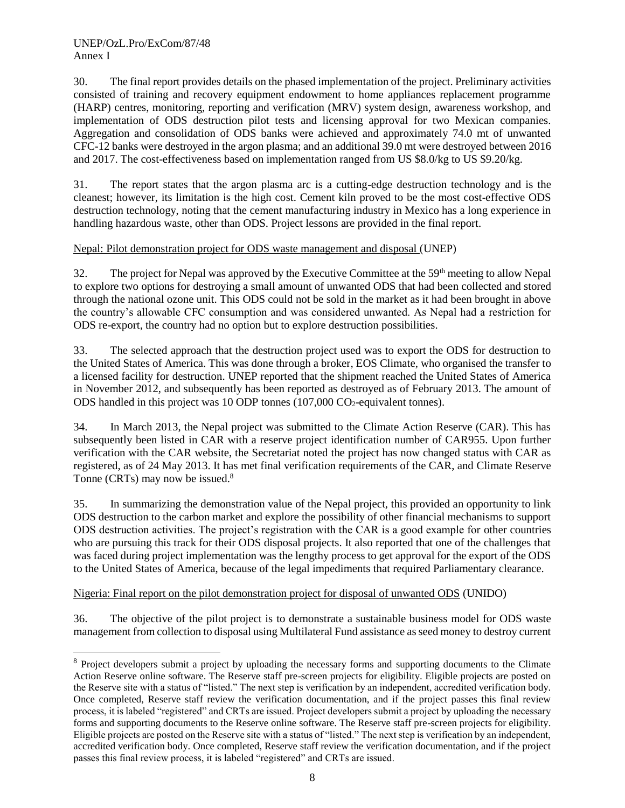l

30. The final report provides details on the phased implementation of the project. Preliminary activities consisted of training and recovery equipment endowment to home appliances replacement programme (HARP) centres, monitoring, reporting and verification (MRV) system design, awareness workshop, and implementation of ODS destruction pilot tests and licensing approval for two Mexican companies. Aggregation and consolidation of ODS banks were achieved and approximately 74.0 mt of unwanted CFC-12 banks were destroyed in the argon plasma; and an additional 39.0 mt were destroyed between 2016 and 2017. The cost-effectiveness based on implementation ranged from US \$8.0/kg to US \$9.20/kg.

31. The report states that the argon plasma arc is a cutting-edge destruction technology and is the cleanest; however, its limitation is the high cost. Cement kiln proved to be the most cost-effective ODS destruction technology, noting that the cement manufacturing industry in Mexico has a long experience in handling hazardous waste, other than ODS. Project lessons are provided in the final report.

# Nepal: Pilot demonstration project for ODS waste management and disposal (UNEP)

32. The project for Nepal was approved by the Executive Committee at the 59<sup>th</sup> meeting to allow Nepal to explore two options for destroying a small amount of unwanted ODS that had been collected and stored through the national ozone unit. This ODS could not be sold in the market as it had been brought in above the country's allowable CFC consumption and was considered unwanted. As Nepal had a restriction for ODS re-export, the country had no option but to explore destruction possibilities.

33. The selected approach that the destruction project used was to export the ODS for destruction to the United States of America. This was done through a broker, EOS Climate, who organised the transfer to a licensed facility for destruction. UNEP reported that the shipment reached the United States of America in November 2012, and subsequently has been reported as destroyed as of February 2013. The amount of ODS handled in this project was 10 ODP tonnes  $(107,000 \text{ CO}_2$ -equivalent tonnes).

34. In March 2013, the Nepal project was submitted to the Climate Action Reserve (CAR). This has subsequently been listed in CAR with a reserve project identification number of CAR955. Upon further verification with the CAR website, the Secretariat noted the project has now changed status with CAR as registered, as of 24 May 2013. It has met final verification requirements of the CAR, and Climate Reserve Tonne (CRTs) may now be issued.<sup>8</sup>

35. In summarizing the demonstration value of the Nepal project, this provided an opportunity to link ODS destruction to the carbon market and explore the possibility of other financial mechanisms to support ODS destruction activities. The project's registration with the CAR is a good example for other countries who are pursuing this track for their ODS disposal projects. It also reported that one of the challenges that was faced during project implementation was the lengthy process to get approval for the export of the ODS to the United States of America, because of the legal impediments that required Parliamentary clearance.

# Nigeria: Final report on the pilot demonstration project for disposal of unwanted ODS (UNIDO)

36. The objective of the pilot project is to demonstrate a sustainable business model for ODS waste management from collection to disposal using Multilateral Fund assistance as seed money to destroy current

<sup>&</sup>lt;sup>8</sup> Project developers submit a project by uploading the necessary forms and supporting documents to the Climate Action Reserve online software. The Reserve staff pre-screen projects for eligibility. Eligible projects are posted on the Reserve site with a status of "listed." The next step is verification by an independent, accredited verification body. Once completed, Reserve staff review the verification documentation, and if the project passes this final review process, it is labeled "registered" and CRTs are issued. Project developers submit a project by uploading the necessary forms and supporting documents to the Reserve online software. The Reserve staff pre-screen projects for eligibility. Eligible projects are posted on the Reserve site with a status of "listed." The next step is verification by an independent, accredited verification body. Once completed, Reserve staff review the verification documentation, and if the project passes this final review process, it is labeled "registered" and CRTs are issued.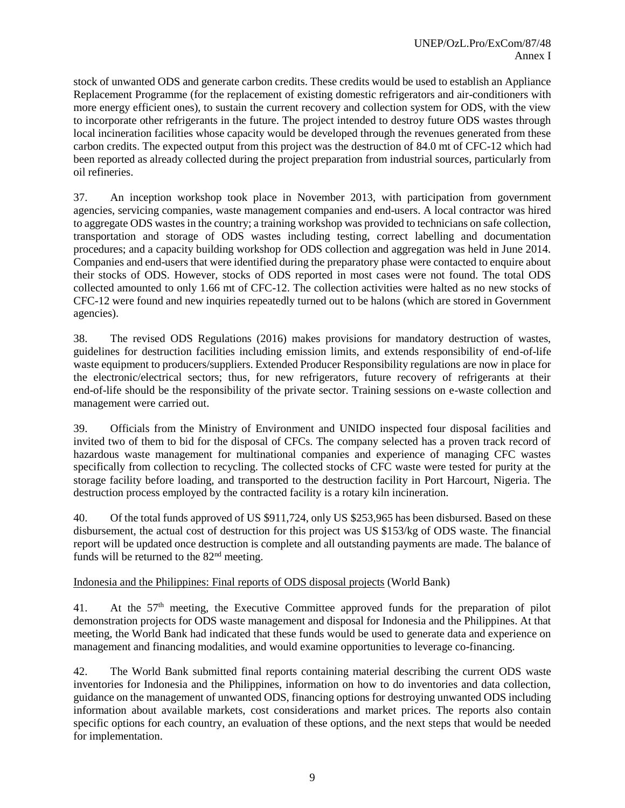stock of unwanted ODS and generate carbon credits. These credits would be used to establish an Appliance Replacement Programme (for the replacement of existing domestic refrigerators and air-conditioners with more energy efficient ones), to sustain the current recovery and collection system for ODS, with the view to incorporate other refrigerants in the future. The project intended to destroy future ODS wastes through local incineration facilities whose capacity would be developed through the revenues generated from these carbon credits. The expected output from this project was the destruction of 84.0 mt of CFC-12 which had been reported as already collected during the project preparation from industrial sources, particularly from oil refineries.

37. An inception workshop took place in November 2013, with participation from government agencies, servicing companies, waste management companies and end-users. A local contractor was hired to aggregate ODS wastes in the country; a training workshop was provided to technicians on safe collection, transportation and storage of ODS wastes including testing, correct labelling and documentation procedures; and a capacity building workshop for ODS collection and aggregation was held in June 2014. Companies and end-users that were identified during the preparatory phase were contacted to enquire about their stocks of ODS. However, stocks of ODS reported in most cases were not found. The total ODS collected amounted to only 1.66 mt of CFC-12. The collection activities were halted as no new stocks of CFC-12 were found and new inquiries repeatedly turned out to be halons (which are stored in Government agencies).

38. The revised ODS Regulations (2016) makes provisions for mandatory destruction of wastes, guidelines for destruction facilities including emission limits, and extends responsibility of end-of-life waste equipment to producers/suppliers. Extended Producer Responsibility regulations are now in place for the electronic/electrical sectors; thus, for new refrigerators, future recovery of refrigerants at their end-of-life should be the responsibility of the private sector. Training sessions on e-waste collection and management were carried out.

39. Officials from the Ministry of Environment and UNIDO inspected four disposal facilities and invited two of them to bid for the disposal of CFCs. The company selected has a proven track record of hazardous waste management for multinational companies and experience of managing CFC wastes specifically from collection to recycling. The collected stocks of CFC waste were tested for purity at the storage facility before loading, and transported to the destruction facility in Port Harcourt, Nigeria. The destruction process employed by the contracted facility is a rotary kiln incineration.

40. Of the total funds approved of US \$911,724, only US \$253,965 has been disbursed. Based on these disbursement, the actual cost of destruction for this project was US \$153/kg of ODS waste. The financial report will be updated once destruction is complete and all outstanding payments are made. The balance of funds will be returned to the  $82<sup>nd</sup>$  meeting.

## Indonesia and the Philippines: Final reports of ODS disposal projects (World Bank)

41. At the 57th meeting, the Executive Committee approved funds for the preparation of pilot demonstration projects for ODS waste management and disposal for Indonesia and the Philippines. At that meeting, the World Bank had indicated that these funds would be used to generate data and experience on management and financing modalities, and would examine opportunities to leverage co-financing.

42. The World Bank submitted final reports containing material describing the current ODS waste inventories for Indonesia and the Philippines, information on how to do inventories and data collection, guidance on the management of unwanted ODS, financing options for destroying unwanted ODS including information about available markets, cost considerations and market prices. The reports also contain specific options for each country, an evaluation of these options, and the next steps that would be needed for implementation.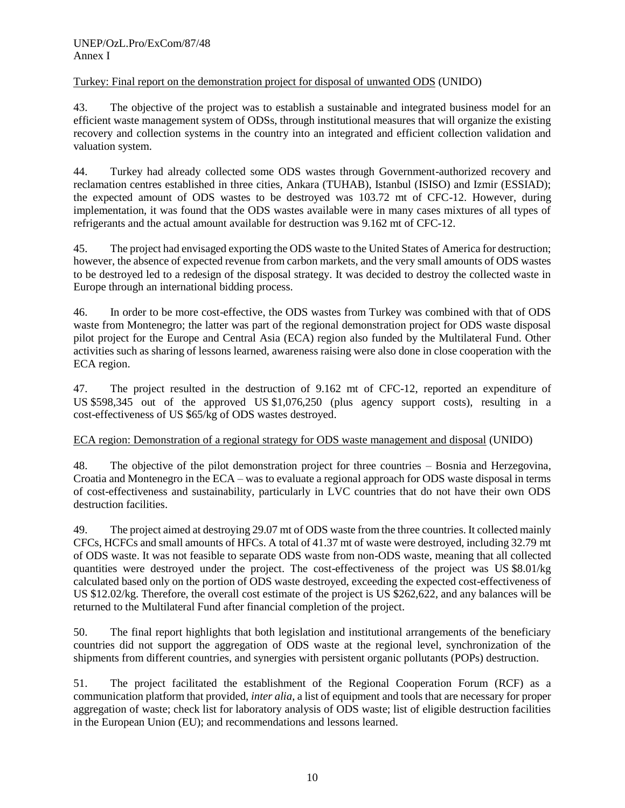# Turkey: Final report on the demonstration project for disposal of unwanted ODS (UNIDO)

43. The objective of the project was to establish a sustainable and integrated business model for an efficient waste management system of ODSs, through institutional measures that will organize the existing recovery and collection systems in the country into an integrated and efficient collection validation and valuation system.

44. Turkey had already collected some ODS wastes through Government-authorized recovery and reclamation centres established in three cities, Ankara (TUHAB), Istanbul (ISISO) and Izmir (ESSIAD); the expected amount of ODS wastes to be destroyed was 103.72 mt of CFC-12. However, during implementation, it was found that the ODS wastes available were in many cases mixtures of all types of refrigerants and the actual amount available for destruction was 9.162 mt of CFC-12.

45. The project had envisaged exporting the ODS waste to the United States of America for destruction; however, the absence of expected revenue from carbon markets, and the very small amounts of ODS wastes to be destroyed led to a redesign of the disposal strategy. It was decided to destroy the collected waste in Europe through an international bidding process.

46. In order to be more cost-effective, the ODS wastes from Turkey was combined with that of ODS waste from Montenegro; the latter was part of the regional demonstration project for ODS waste disposal pilot project for the Europe and Central Asia (ECA) region also funded by the Multilateral Fund. Other activities such as sharing of lessons learned, awareness raising were also done in close cooperation with the ECA region.

47. The project resulted in the destruction of 9.162 mt of CFC-12, reported an expenditure of US \$598,345 out of the approved US \$1,076,250 (plus agency support costs), resulting in a cost-effectiveness of US \$65/kg of ODS wastes destroyed.

# ECA region: Demonstration of a regional strategy for ODS waste management and disposal (UNIDO)

48. The objective of the pilot demonstration project for three countries – Bosnia and Herzegovina, Croatia and Montenegro in the ECA – was to evaluate a regional approach for ODS waste disposal in terms of cost-effectiveness and sustainability, particularly in LVC countries that do not have their own ODS destruction facilities.

49. The project aimed at destroying 29.07 mt of ODS waste from the three countries. It collected mainly CFCs, HCFCs and small amounts of HFCs. A total of 41.37 mt of waste were destroyed, including 32.79 mt of ODS waste. It was not feasible to separate ODS waste from non-ODS waste, meaning that all collected quantities were destroyed under the project. The cost-effectiveness of the project was US \$8.01/kg calculated based only on the portion of ODS waste destroyed, exceeding the expected cost-effectiveness of US \$12.02/kg. Therefore, the overall cost estimate of the project is US \$262,622, and any balances will be returned to the Multilateral Fund after financial completion of the project.

50. The final report highlights that both legislation and institutional arrangements of the beneficiary countries did not support the aggregation of ODS waste at the regional level, synchronization of the shipments from different countries, and synergies with persistent organic pollutants (POPs) destruction.

51. The project facilitated the establishment of the Regional Cooperation Forum (RCF) as a communication platform that provided, *inter alia*, a list of equipment and tools that are necessary for proper aggregation of waste; check list for laboratory analysis of ODS waste; list of eligible destruction facilities in the European Union (EU); and recommendations and lessons learned.